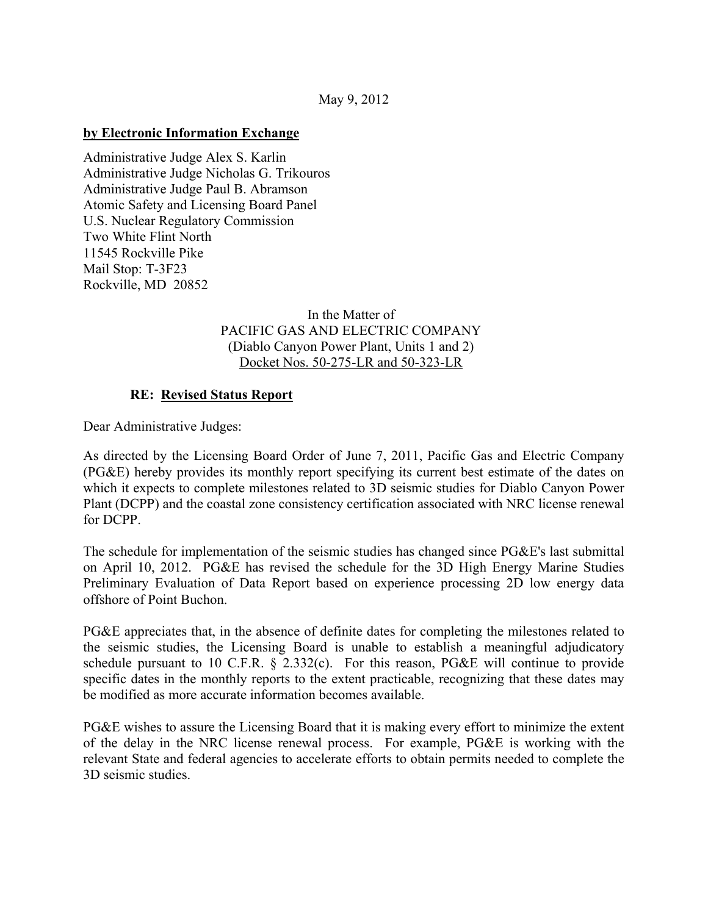### May 9, 2012

### **by Electronic Information Exchange**

Administrative Judge Alex S. Karlin Administrative Judge Nicholas G. Trikouros Administrative Judge Paul B. Abramson Atomic Safety and Licensing Board Panel U.S. Nuclear Regulatory Commission Two White Flint North 11545 Rockville Pike Mail Stop: T-3F23 Rockville, MD 20852

# In the Matter of PACIFIC GAS AND ELECTRIC COMPANY (Diablo Canyon Power Plant, Units 1 and 2) Docket Nos. 50-275-LR and 50-323-LR

### **RE: Revised Status Report**

Dear Administrative Judges:

As directed by the Licensing Board Order of June 7, 2011, Pacific Gas and Electric Company (PG&E) hereby provides its monthly report specifying its current best estimate of the dates on which it expects to complete milestones related to 3D seismic studies for Diablo Canyon Power Plant (DCPP) and the coastal zone consistency certification associated with NRC license renewal for DCPP.

The schedule for implementation of the seismic studies has changed since PG&E's last submittal on April 10, 2012. PG&E has revised the schedule for the 3D High Energy Marine Studies Preliminary Evaluation of Data Report based on experience processing 2D low energy data offshore of Point Buchon.

PG&E appreciates that, in the absence of definite dates for completing the milestones related to the seismic studies, the Licensing Board is unable to establish a meaningful adjudicatory schedule pursuant to 10 C.F.R. § 2.332(c). For this reason, PG&E will continue to provide specific dates in the monthly reports to the extent practicable, recognizing that these dates may be modified as more accurate information becomes available.

PG&E wishes to assure the Licensing Board that it is making every effort to minimize the extent of the delay in the NRC license renewal process. For example, PG&E is working with the relevant State and federal agencies to accelerate efforts to obtain permits needed to complete the 3D seismic studies.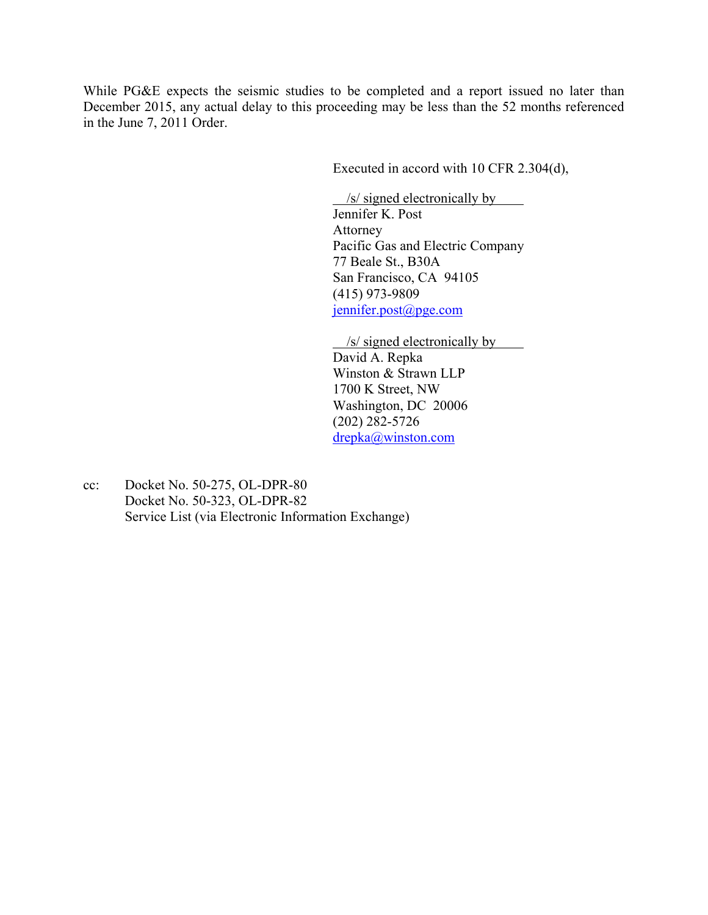While PG&E expects the seismic studies to be completed and a report issued no later than December 2015, any actual delay to this proceeding may be less than the 52 months referenced in the June 7, 2011 Order.

Executed in accord with 10 CFR 2.304(d),

 /s/ signed electronically by Jennifer K. Post Attorney Pacific Gas and Electric Company 77 Beale St., B30A San Francisco, CA 94105 (415) 973-9809 jennifer.post@pge.com

 /s/ signed electronically by David A. Repka Winston & Strawn LLP 1700 K Street, NW Washington, DC 20006 (202) 282-5726 drepka@winston.com

cc: Docket No. 50-275, OL-DPR-80 Docket No. 50-323, OL-DPR-82 Service List (via Electronic Information Exchange)